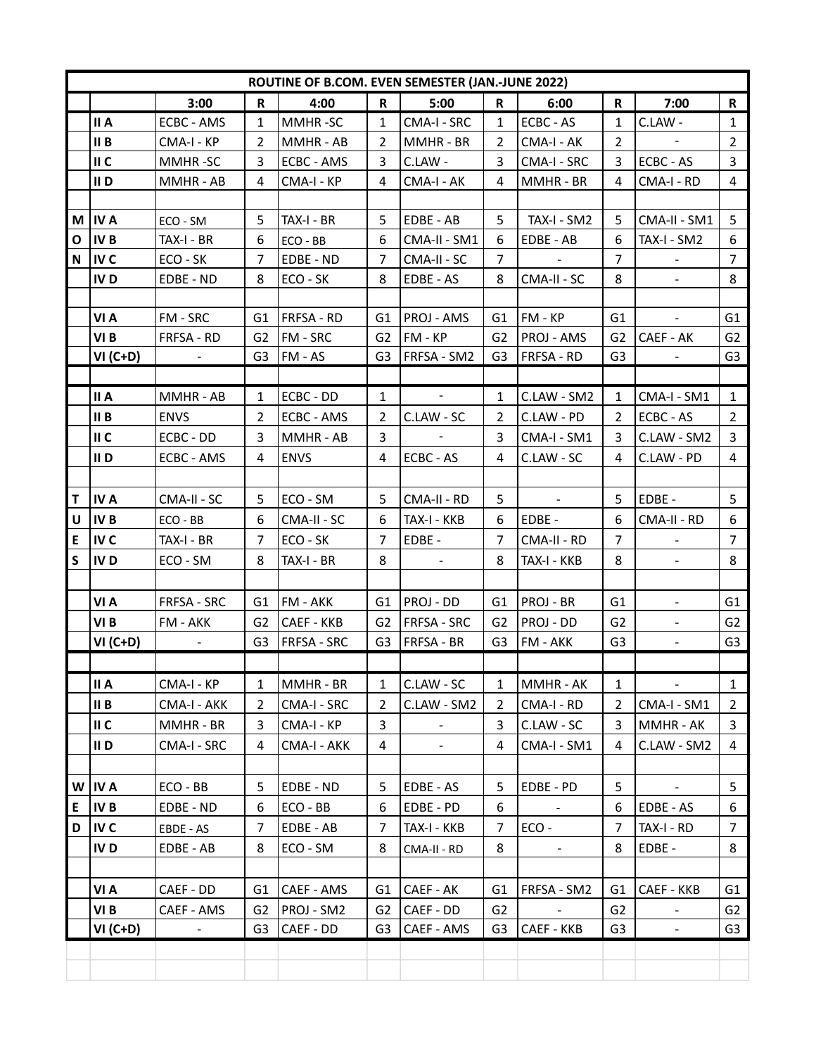| ROUTINE OF B.COM. EVEN SEMESTER (JAN.-JUNE 2022) |                 |                    |                |                    |                |                    |                |                   |                |                |                |
|--------------------------------------------------|-----------------|--------------------|----------------|--------------------|----------------|--------------------|----------------|-------------------|----------------|----------------|----------------|
|                                                  |                 | 3:00               | $\mathbf R$    | 4:00               | $\mathbf R$    | 5:00               | R              | 6:00              | $\mathbf R$    | 7:00           | $\mathbf R$    |
|                                                  | II A            | ECBC - AMS         | 1              | MMHR-SC            | 1              | CMA-I - SRC        | 1              | <b>ECBC - AS</b>  | 1              | C.LAW -        | $\mathbf{1}$   |
|                                                  | II B            | CMA-I - KP         | $\overline{2}$ | MMHR - AB          | $\overline{2}$ | MMHR - BR          | 2              | CMA-I - AK        | $\overline{2}$ |                | $\overline{2}$ |
|                                                  | II C            | MMHR-SC            | 3              | ECBC - AMS         | 3              | C.LAW -            | 3              | CMA-I - SRC       | 3              | ECBC - AS      | 3              |
|                                                  | II D            | MMHR - AB          | 4              | CMA-I - KP         | 4              | CMA-I - AK         | 4              | MMHR - BR         | 4              | CMA-I - RD     | 4              |
|                                                  |                 |                    |                |                    |                |                    |                |                   |                |                |                |
|                                                  | $M$ IV A        | ECO - SM           | 5              | TAX-I - BR         | 5              | EDBE - AB          | 5              | TAX-I - SM2       | 5              | CMA-II - SM1   | 5              |
| O                                                | IV <sub>B</sub> | TAX-I - BR         | 6              | ECO - BB           | 6              | CMA-II - SM1       | 6              | EDBE - AB         | 6              | TAX-I - SM2    | 6              |
| N                                                | IV C            | ECO - SK           | $\overline{7}$ | EDBE - ND          | 7              | CMA-II - SC        | $\overline{7}$ |                   | $\overline{7}$ | $\blacksquare$ | $\overline{7}$ |
|                                                  | IV <sub>D</sub> | EDBE - ND          | 8              | ECO - SK           | 8              | EDBE - AS          | 8              | CMA-II - SC       | 8              |                | 8              |
|                                                  |                 |                    |                |                    |                |                    |                |                   |                |                |                |
|                                                  | VI A            | FM - SRC           | G1             | FRFSA - RD         | G1             | <b>PROJ - AMS</b>  | G1             | $ FM - KP$        | G <sub>1</sub> | $\blacksquare$ | G <sub>1</sub> |
|                                                  | VI <sub>B</sub> | FRFSA - RD         | G2             | FM - SRC           | G2             | FM - KP            | G2             | <b>PROJ - AMS</b> | G2             | CAEF - AK      | G <sub>2</sub> |
|                                                  | $VI(C+D)$       |                    | G <sub>3</sub> | FM - AS            | G3             | FRFSA - SM2        | G3             | <b>FRFSA - RD</b> | G <sub>3</sub> |                | G <sub>3</sub> |
|                                                  |                 |                    |                |                    |                |                    |                |                   |                |                |                |
|                                                  | II A            | MMHR - AB          | $\mathbf{1}$   | ECBC - DD          | $\mathbf{1}$   | $\sim$             | $\mathbf{1}$   | C.LAW - SM2       | 1              | CMA-I - SM1    | $\mathbf{1}$   |
|                                                  | II B            | <b>ENVS</b>        | $\overline{2}$ | ECBC - AMS         | $\overline{2}$ | C.LAW - SC         | 2              | C.LAW - PD        | 2              | ECBC - AS      | $\overline{2}$ |
|                                                  | II C            | ECBC - DD          | 3              | MMHR - AB          | 3              |                    | 3              | CMA-I - SM1       | 3              | C.LAW - SM2    | 3              |
|                                                  | II D            | ECBC - AMS         | 4              | <b>ENVS</b>        | 4              | ECBC - AS          | 4              | C.LAW - SC        | 4              | C.LAW - PD     | 4              |
|                                                  |                 |                    |                |                    |                |                    |                |                   |                |                |                |
| T.                                               | IV A            | CMA-II - SC        | 5              | ECO - SM           | 5              | CMA-II - RD        | 5              | $\sim$            | 5              | EDBE -         | 5              |
| $\mathsf{U}$                                     | <b>IVB</b>      | ECO - BB           | 6              | CMA-II - SC        | 6              | TAX-I - KKB        | 6              | EDBE -            | 6              | CMA-II - RD    | 6              |
| ${\sf E}$                                        | IV C            | TAX-I - BR         | $\overline{7}$ | ECO - SK           | $\overline{7}$ | EDBE -             | $\overline{7}$ | CMA-II - RD       | $\overline{7}$ |                | $\overline{7}$ |
| $\mathsf S$                                      | <b>IVD</b>      | ECO - SM           | 8              | TAX-I - BR         | 8              | $\sim$             | 8              | TAX-I - KKB       | 8              | $\blacksquare$ | 8              |
|                                                  |                 |                    |                |                    |                |                    |                |                   |                |                |                |
|                                                  | VI A            | <b>FRFSA - SRC</b> | G1             | FM - AKK           | G1             | <b>PROJ - DD</b>   | G1             | <b>PROJ - BR</b>  | G1             | $\blacksquare$ | G1             |
|                                                  | VI B            | FM - AKK           | G2             | <b>CAEF - KKB</b>  | G2             | <b>FRFSA - SRC</b> | G2             | <b>PROJ - DD</b>  | G <sub>2</sub> | $\blacksquare$ | G <sub>2</sub> |
|                                                  | $VI(C+D)$       | $\blacksquare$     | G <sub>3</sub> | <b>FRFSA - SRC</b> | G3             | FRFSA - BR         | G3             | FM - AKK          | G <sub>3</sub> | $\omega$       | G <sub>3</sub> |
|                                                  |                 |                    |                |                    |                |                    |                |                   |                |                |                |
|                                                  | II A            | CMA-I - KP         | 1              | MMHR - BR          | $\mathbf{1}$   | C.LAW - SC         | 1              | MMHR - AK         | $\mathbf{1}$   | $\sim$         | $\mathbf{1}$   |
|                                                  | II B            | CMA-I - AKK        | $\overline{2}$ | CMA-I - SRC        | 2              | C.LAW - SM2        | 2              | CMA-I - RD        | 2              | CMA-I - SM1    | $\overline{2}$ |
|                                                  | II C            | MMHR - BR          | 3              | CMA-I - KP         | 3              |                    | 3              | C.LAW - SC        | 3              | MMHR - AK      | 3              |
|                                                  | II D            | CMA-I - SRC        | 4              | CMA-I - AKK        | 4              | $\blacksquare$     | 4              | CMA-I - SM1       | 4              | C.LAW - SM2    | 4              |
|                                                  |                 |                    |                |                    |                |                    |                |                   |                |                |                |
| W                                                | IV A            | ECO - BB           | 5              | EDBE - ND          | 5              | EDBE - AS          | 5              | EDBE - PD         | 5              | $\sim$         | 5              |
| E                                                | <b>IVB</b>      | EDBE - ND          | 6              | ECO - BB           | 6              | EDBE - PD          | 6              |                   | 6              | EDBE - AS      | 6              |
| D                                                | IV C            | EBDE - AS          | $\overline{7}$ | EDBE - AB          | 7              | TAX-I - KKB        | $\overline{7}$ | $ECO -$           | 7              | TAX-I - RD     | $\overline{7}$ |
|                                                  | IV <sub>D</sub> | EDBE - AB          | 8              | ECO - SM           | 8              | CMA-II - RD        | 8              | $\blacksquare$    | 8              | EDBE -         | 8              |
|                                                  |                 |                    |                |                    |                |                    |                |                   |                |                |                |
|                                                  | VI A            | CAEF - DD          | G1             | CAEF - AMS         | G1             | CAEF - AK          | G1             | FRFSA - SM2       | G1             | CAEF - KKB     | G1             |
|                                                  | VI B            | CAEF - AMS         | G <sub>2</sub> | PROJ - SM2         | G2             | CAEF - DD          | G <sub>2</sub> |                   | G <sub>2</sub> |                | G <sub>2</sub> |
|                                                  | VI (C+D)        | $\blacksquare$     | G <sub>3</sub> | CAEF - DD          | G3             | CAEF - AMS         | G3             | <b>CAEF - KKB</b> | G <sub>3</sub> | $\blacksquare$ | G3             |
|                                                  |                 |                    |                |                    |                |                    |                |                   |                |                |                |
|                                                  |                 |                    |                |                    |                |                    |                |                   |                |                |                |